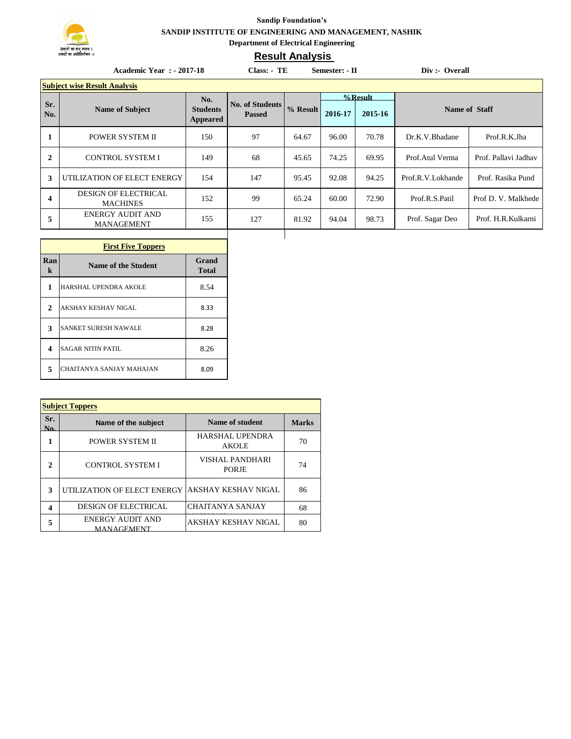

## **Sandip Foundation's SANDIP INSTITUTE OF ENGINEERING AND MANAGEMENT, NASHIK Department of Electrical Engineering**

## **Result Analysis**

|                                     | <b>Academic Year : - 2017-18</b>             | Class: - TE<br>Semester: - II |                        |          |            | Div :- Overall |                   |                      |
|-------------------------------------|----------------------------------------------|-------------------------------|------------------------|----------|------------|----------------|-------------------|----------------------|
| <b>Subject wise Result Analysis</b> |                                              |                               |                        |          |            |                |                   |                      |
| Sr.                                 |                                              | No.                           | <b>No. of Students</b> |          | $%$ Result |                |                   |                      |
| No.                                 | <b>Name of Subject</b>                       | <b>Students</b><br>Appeared   | <b>Passed</b>          | % Result | 2016-17    | 2015-16        | Name of Staff     |                      |
|                                     | POWER SYSTEM II                              | 150                           | 97                     | 64.67    | 96.00      | 70.78          | Dr.K.V.Bhadane    | Prof.R.K.Jha         |
| $\mathbf{2}$                        | <b>CONTROL SYSTEM I</b>                      | 149                           | 68                     | 45.65    | 74.25      | 69.95          | Prof. Atul Verma  | Prof. Pallavi Jadhav |
| 3                                   | UTILIZATION OF ELECT ENERGY                  | 154                           | 147                    | 95.45    | 92.08      | 94.25          | Prof.R.V.Lokhande | Prof. Rasika Pund    |
| 4                                   | DESIGN OF ELECTRICAL<br><b>MACHINES</b>      | 152                           | 99                     | 65.24    | 60.00      | 72.90          | Prof.R.S.Patil    | Prof D. V. Malkhede  |
| 5                                   | <b>ENERGY AUDIT AND</b><br><b>MANAGEMENT</b> | 155                           | 127                    | 81.92    | 94.04      | 98.73          | Prof. Sagar Deo   | Prof. H.R.Kulkarni   |
|                                     |                                              |                               |                        |          |            |                |                   |                      |

| <b>First Five Toppers</b> |                             |                |  |  |  |
|---------------------------|-----------------------------|----------------|--|--|--|
| Ran<br>k                  | Name of the Student         | Grand<br>Total |  |  |  |
| 1                         | HARSHAL UPENDRA AKOLE       | 8.54           |  |  |  |
| 2                         | <b>AKSHAY KESHAV NIGAL</b>  | 8.33           |  |  |  |
| 3                         | <b>SANKET SURESH NAWALE</b> | 8.28           |  |  |  |
| 4                         | <b>SAGAR NITIN PATIL</b>    | 8.26           |  |  |  |
| 5                         | CHAITANYA SANJAY MAHAJAN    | 8.09           |  |  |  |

| <b>Subject Toppers</b> |                                              |                                 |              |  |  |  |
|------------------------|----------------------------------------------|---------------------------------|--------------|--|--|--|
| Sr.<br>Nο.             | Name of the subject                          | Name of student                 | <b>Marks</b> |  |  |  |
| 1                      | <b>POWER SYSTEM II</b>                       | HARSHAL UPENDRA<br><b>AKOLE</b> | 70           |  |  |  |
| 2                      | <b>CONTROL SYSTEM I</b>                      | VISHAL PANDHARI<br><b>PORJE</b> | 74           |  |  |  |
| 3                      | UTILIZATION OF ELECT ENERGY                  | <b>JAKSHAY KESHAV NIGAL</b>     | 86           |  |  |  |
| 4                      | <b>DESIGN OF ELECTRICAL</b>                  | <b>CHAITANYA SANJAY</b>         | 68           |  |  |  |
| 5                      | <b>ENERGY AUDIT AND</b><br><b>MANAGEMENT</b> | AKSHAY KESHAV NIGAL             | 80           |  |  |  |